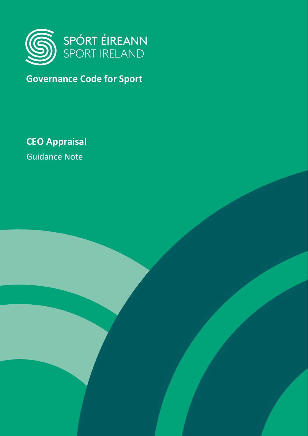

# **Governance Code for Sport**

**CEO Appraisal**

Guidance Note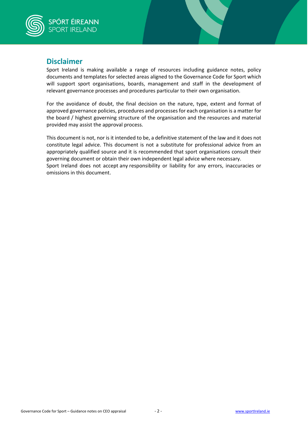

## **Disclaimer**

Sport Ireland is making available a range of resources including guidance notes, policy documents and templates for selected areas aligned to the Governance Code for Sport which will support sport organisations, boards, management and staff in the development of relevant governance processes and procedures particular to their own organisation.

For the avoidance of doubt, the final decision on the nature, type, extent and format of approved governance policies, procedures and processes for each organisation is a matter for the board / highest governing structure of the organisation and the resources and material provided may assist the approval process.

This document is not, nor is it intended to be, a definitive statement of the law and it does not constitute legal advice. This document is not a substitute for professional advice from an appropriately qualified source and it is recommended that sport organisations consult their governing document or obtain their own independent legal advice where necessary. Sport Ireland does not accept any responsibility or liability for any errors, inaccuracies or omissions in this document.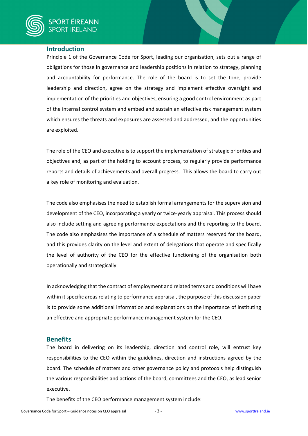### **Introduction**

Principle 1 of the Governance Code for Sport, leading our organisation, sets out a range of obligations for those in governance and leadership positions in relation to strategy, planning and accountability for performance. The role of the board is to set the tone, provide leadership and direction, agree on the strategy and implement effective oversight and implementation of the priorities and objectives, ensuring a good control environment as part of the internal control system and embed and sustain an effective risk management system which ensures the threats and exposures are assessed and addressed, and the opportunities are exploited.

The role of the CEO and executive is to support the implementation of strategic priorities and objectives and, as part of the holding to account process, to regularly provide performance reports and details of achievements and overall progress. This allows the board to carry out a key role of monitoring and evaluation.

The code also emphasises the need to establish formal arrangements for the supervision and development of the CEO, incorporating a yearly or twice-yearly appraisal. This process should also include setting and agreeing performance expectations and the reporting to the board. The code also emphasises the importance of a schedule of matters reserved for the board, and this provides clarity on the level and extent of delegations that operate and specifically the level of authority of the CEO for the effective functioning of the organisation both operationally and strategically.

In acknowledging that the contract of employment and related terms and conditions will have within it specific areas relating to performance appraisal, the purpose of this discussion paper is to provide some additional information and explanations on the importance of instituting an effective and appropriate performance management system for the CEO.

#### **Benefits**

The board in delivering on its leadership, direction and control role, will entrust key responsibilities to the CEO within the guidelines, direction and instructions agreed by the board. The schedule of matters and other governance policy and protocols help distinguish the various responsibilities and actions of the board, committees and the CEO, as lead senior executive.

The benefits of the CEO performance management system include: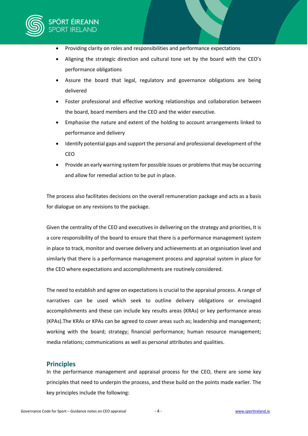

- Providing clarity on roles and responsibilities and performance expectations
- Aligning the strategic direction and cultural tone set by the board with the CEO's performance obligations
- Assure the board that legal, regulatory and governance obligations are being delivered
- Foster professional and effective working relationships and collaboration between the board, board members and the CEO and the wider executive.
- Emphasise the nature and extent of the holding to account arrangements linked to performance and delivery
- Identify potential gaps and support the personal and professional development of the CEO
- Provide an early warning system for possible issues or problems that may be occurring and allow for remedial action to be put in place.

The process also facilitates decisions on the overall remuneration package and acts as a basis for dialogue on any revisions to the package.

Given the centrality of the CEO and executives in delivering on the strategy and priorities, It is a core responsibility of the board to ensure that there is a performance management system in place to track, monitor and oversee delivery and achievements at an organisation level and similarly that there is a performance management process and appraisal system in place for the CEO where expectations and accomplishments are routinely considered.

The need to establish and agree on expectations is crucial to the appraisal process. A range of narratives can be used which seek to outline delivery obligations or envisaged accomplishments and these can include key results areas (KRAs) or key performance areas (KPAs).The KRAs or KPAs can be agreed to cover areas such as; leadership and management; working with the board; strategy; financial performance; human resource management; media relations; communications as well as personal attributes and qualities.

#### **Principles**

In the performance management and appraisal process for the CEO, there are some key principles that need to underpin the process, and these build on the points made earlier. The key principles include the following: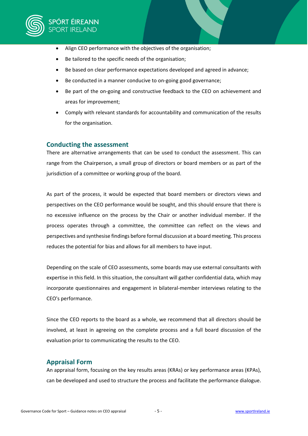

- Align CEO performance with the objectives of the organisation;
- Be tailored to the specific needs of the organisation;
- Be based on clear performance expectations developed and agreed in advance;
- Be conducted in a manner conducive to on-going good governance;
- Be part of the on-going and constructive feedback to the CEO on achievement and areas for improvement;
- Comply with relevant standards for accountability and communication of the results for the organisation.

#### **Conducting the assessment**

There are alternative arrangements that can be used to conduct the assessment. This can range from the Chairperson, a small group of directors or board members or as part of the jurisdiction of a committee or working group of the board.

As part of the process, it would be expected that board members or directors views and perspectives on the CEO performance would be sought, and this should ensure that there is no excessive influence on the process by the Chair or another individual member. If the process operates through a committee, the committee can reflect on the views and perspectives and synthesise findings before formal discussion at a board meeting. This process reduces the potential for bias and allows for all members to have input.

Depending on the scale of CEO assessments, some boards may use external consultants with expertise in this field. In this situation, the consultant will gather confidential data, which may incorporate questionnaires and engagement in bilateral-member interviews relating to the CEO's performance.

Since the CEO reports to the board as a whole, we recommend that all directors should be involved, at least in agreeing on the complete process and a full board discussion of the evaluation prior to communicating the results to the CEO.

#### **Appraisal Form**

An appraisal form, focusing on the key results areas (KRAs) or key performance areas (KPAs), can be developed and used to structure the process and facilitate the performance dialogue.